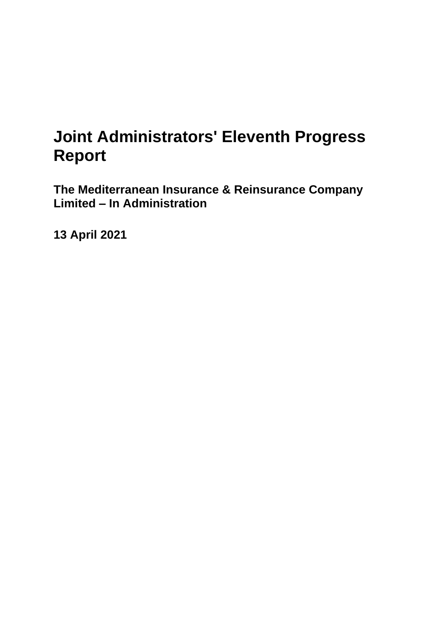# **Joint Administrators' Eleventh Progress Report**

**The Mediterranean Insurance & Reinsurance Company Limited – In Administration**

**13 April 2021**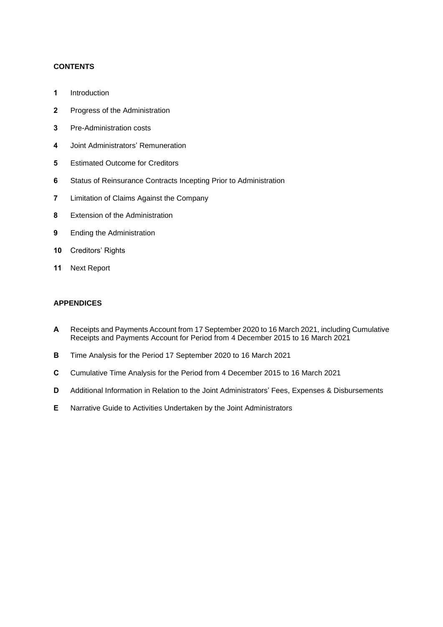## **CONTENTS**

- **1** Introduction
- **2** Progress of the Administration
- **3** Pre-Administration costs
- **4** Joint Administrators' Remuneration
- **5** Estimated Outcome for Creditors
- **6** Status of Reinsurance Contracts Incepting Prior to Administration
- **7** Limitation of Claims Against the Company
- **8** Extension of the Administration
- **9** Ending the Administration
- **10** Creditors' Rights
- **11** Next Report

## **APPENDICES**

- **A** Receipts and Payments Account from 17 September 2020 to 16 March 2021, including Cumulative Receipts and Payments Account for Period from 4 December 2015 to 16 March 2021
- **B** Time Analysis for the Period 17 September 2020 to 16 March 2021
- **C** Cumulative Time Analysis for the Period from 4 December 2015 to 16 March 2021
- **D** Additional Information in Relation to the Joint Administrators' Fees, Expenses & Disbursements
- **E** Narrative Guide to Activities Undertaken by the Joint Administrators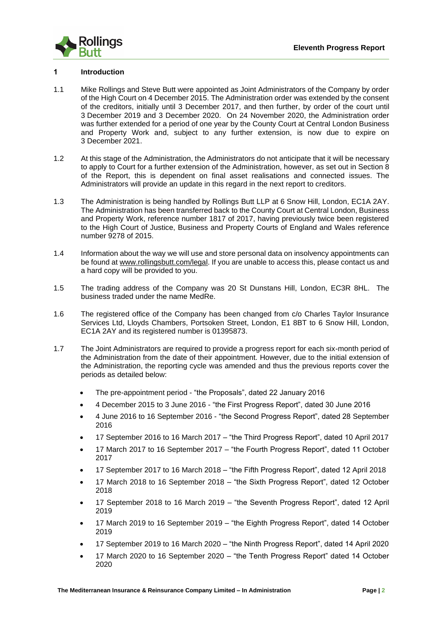

#### **1 Introduction**

- 1.1 Mike Rollings and Steve Butt were appointed as Joint Administrators of the Company by order of the High Court on 4 December 2015. The Administration order was extended by the consent of the creditors, initially until 3 December 2017, and then further, by order of the court until 3 December 2019 and 3 December 2020. On 24 November 2020, the Administration order was further extended for a period of one year by the County Court at Central London Business and Property Work and, subject to any further extension, is now due to expire on 3 December 2021.
- 1.2 At this stage of the Administration, the Administrators do not anticipate that it will be necessary to apply to Court for a further extension of the Administration, however, as set out in Section 8 of the Report, this is dependent on final asset realisations and connected issues. The Administrators will provide an update in this regard in the next report to creditors.
- 1.3 The Administration is being handled by Rollings Butt LLP at 6 Snow Hill, London, EC1A 2AY. The Administration has been transferred back to the County Court at Central London, Business and Property Work, reference number 1817 of 2017, having previously twice been registered to the High Court of Justice, Business and Property Courts of England and Wales reference number 9278 of 2015.
- 1.4 Information about the way we will use and store personal data on insolvency appointments can be found at www.rollingsbutt.com/legal. If you are unable to access this, please contact us and a hard copy will be provided to you.
- 1.5 The trading address of the Company was 20 St Dunstans Hill, London, EC3R 8HL. The business traded under the name MedRe.
- 1.6 The registered office of the Company has been changed from c/o Charles Taylor Insurance Services Ltd, Lloyds Chambers, Portsoken Street, London, E1 8BT to 6 Snow Hill, London, EC1A 2AY and its registered number is 01395873.
- 1.7 The Joint Administrators are required to provide a progress report for each six-month period of the Administration from the date of their appointment. However, due to the initial extension of the Administration, the reporting cycle was amended and thus the previous reports cover the periods as detailed below:
	- The pre-appointment period "the Proposals", dated 22 January 2016
	- 4 December 2015 to 3 June 2016 "the First Progress Report", dated 30 June 2016
	- 4 June 2016 to 16 September 2016 "the Second Progress Report", dated 28 September 2016
	- 17 September 2016 to 16 March 2017 "the Third Progress Report", dated 10 April 2017
	- 17 March 2017 to 16 September 2017 "the Fourth Progress Report", dated 11 October 2017
	- 17 September 2017 to 16 March 2018 "the Fifth Progress Report", dated 12 April 2018
	- 17 March 2018 to 16 September 2018 "the Sixth Progress Report", dated 12 October 2018
	- 17 September 2018 to 16 March 2019 "the Seventh Progress Report", dated 12 April 2019
	- 17 March 2019 to 16 September 2019 "the Eighth Progress Report", dated 14 October 2019
	- 17 September 2019 to 16 March 2020 "the Ninth Progress Report", dated 14 April 2020
	- 17 March 2020 to 16 September 2020 "the Tenth Progress Report" dated 14 October 2020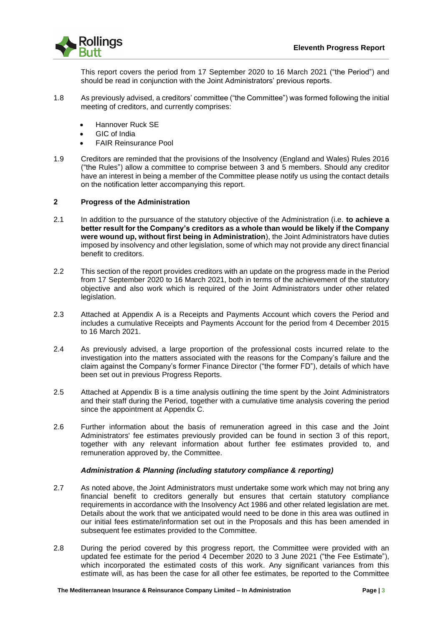

This report covers the period from 17 September 2020 to 16 March 2021 ("the Period") and should be read in conjunction with the Joint Administrators' previous reports.

- 1.8 As previously advised, a creditors' committee ("the Committee") was formed following the initial meeting of creditors, and currently comprises:
	- Hannover Ruck SE
	- GIC of India
	- FAIR Reinsurance Pool
- 1.9 Creditors are reminded that the provisions of the Insolvency (England and Wales) Rules 2016 ("the Rules") allow a committee to comprise between 3 and 5 members. Should any creditor have an interest in being a member of the Committee please notify us using the contact details on the notification letter accompanying this report.

### **2 Progress of the Administration**

- 2.1 In addition to the pursuance of the statutory objective of the Administration (i.e. **to achieve a better result for the Company's creditors as a whole than would be likely if the Company were wound up, without first being in Administration**), the Joint Administrators have duties imposed by insolvency and other legislation, some of which may not provide any direct financial benefit to creditors.
- 2.2 This section of the report provides creditors with an update on the progress made in the Period from 17 September 2020 to 16 March 2021, both in terms of the achievement of the statutory objective and also work which is required of the Joint Administrators under other related legislation.
- 2.3 Attached at Appendix A is a Receipts and Payments Account which covers the Period and includes a cumulative Receipts and Payments Account for the period from 4 December 2015 to 16 March 2021.
- 2.4 As previously advised, a large proportion of the professional costs incurred relate to the investigation into the matters associated with the reasons for the Company's failure and the claim against the Company's former Finance Director ("the former FD"), details of which have been set out in previous Progress Reports.
- 2.5 Attached at Appendix B is a time analysis outlining the time spent by the Joint Administrators and their staff during the Period, together with a cumulative time analysis covering the period since the appointment at Appendix C.
- 2.6 Further information about the basis of remuneration agreed in this case and the Joint Administrators' fee estimates previously provided can be found in section 3 of this report, together with any relevant information about further fee estimates provided to, and remuneration approved by, the Committee.

#### *Administration & Planning (including statutory compliance & reporting)*

- 2.7 As noted above, the Joint Administrators must undertake some work which may not bring any financial benefit to creditors generally but ensures that certain statutory compliance requirements in accordance with the Insolvency Act 1986 and other related legislation are met. Details about the work that we anticipated would need to be done in this area was outlined in our initial fees estimate/information set out in the Proposals and this has been amended in subsequent fee estimates provided to the Committee.
- 2.8 During the period covered by this progress report, the Committee were provided with an updated fee estimate for the period 4 December 2020 to 3 June 2021 ("the Fee Estimate"), which incorporated the estimated costs of this work. Any significant variances from this estimate will, as has been the case for all other fee estimates, be reported to the Committee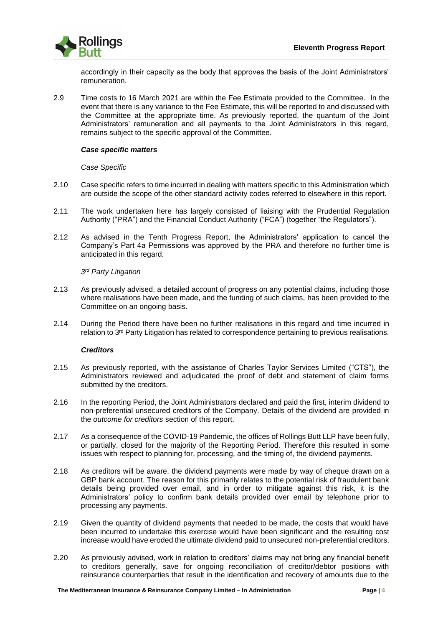

accordingly in their capacity as the body that approves the basis of the Joint Administrators' remuneration.

2.9 Time costs to 16 March 2021 are within the Fee Estimate provided to the Committee. In the event that there is any variance to the Fee Estimate, this will be reported to and discussed with the Committee at the appropriate time. As previously reported, the quantum of the Joint Administrators' remuneration and all payments to the Joint Administrators in this regard, remains subject to the specific approval of the Committee.

#### *Case specific matters*

*Case Specific*

- 2.10 Case specific refers to time incurred in dealing with matters specific to this Administration which are outside the scope of the other standard activity codes referred to elsewhere in this report.
- 2.11 The work undertaken here has largely consisted of liaising with the Prudential Regulation Authority ("PRA") and the Financial Conduct Authority ("FCA") (together "the Regulators").
- 2.12 As advised in the Tenth Progress Report, the Administrators' application to cancel the Company's Part 4a Permissions was approved by the PRA and therefore no further time is anticipated in this regard.

#### *3 rd Party Litigation*

- 2.13 As previously advised, a detailed account of progress on any potential claims, including those where realisations have been made, and the funding of such claims, has been provided to the Committee on an ongoing basis.
- 2.14 During the Period there have been no further realisations in this regard and time incurred in relation to 3rd Party Litigation has related to correspondence pertaining to previous realisations.

#### *Creditors*

- 2.15 As previously reported, with the assistance of Charles Taylor Services Limited ("CTS"), the Administrators reviewed and adjudicated the proof of debt and statement of claim forms submitted by the creditors.
- 2.16 In the reporting Period, the Joint Administrators declared and paid the first, interim dividend to non-preferential unsecured creditors of the Company. Details of the dividend are provided in the *outcome for creditors* section of this report.
- 2.17 As a consequence of the COVID-19 Pandemic, the offices of Rollings Butt LLP have been fully, or partially, closed for the majority of the Reporting Period. Therefore this resulted in some issues with respect to planning for, processing, and the timing of, the dividend payments.
- 2.18 As creditors will be aware, the dividend payments were made by way of cheque drawn on a GBP bank account. The reason for this primarily relates to the potential risk of fraudulent bank details being provided over email, and in order to mitigate against this risk, it is the Administrators' policy to confirm bank details provided over email by telephone prior to processing any payments.
- 2.19 Given the quantity of dividend payments that needed to be made, the costs that would have been incurred to undertake this exercise would have been significant and the resulting cost increase would have eroded the ultimate dividend paid to unsecured non-preferential creditors.
- 2.20 As previously advised, work in relation to creditors' claims may not bring any financial benefit to creditors generally, save for ongoing reconciliation of creditor/debtor positions with reinsurance counterparties that result in the identification and recovery of amounts due to the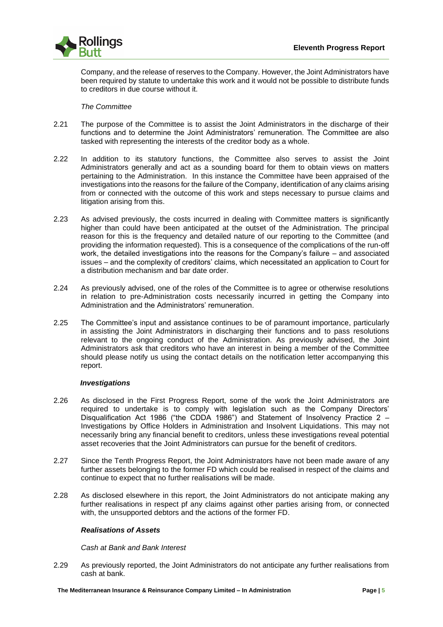

Company, and the release of reserves to the Company. However, the Joint Administrators have been required by statute to undertake this work and it would not be possible to distribute funds to creditors in due course without it.

#### *The Committee*

- 2.21 The purpose of the Committee is to assist the Joint Administrators in the discharge of their functions and to determine the Joint Administrators' remuneration. The Committee are also tasked with representing the interests of the creditor body as a whole.
- 2.22 In addition to its statutory functions, the Committee also serves to assist the Joint Administrators generally and act as a sounding board for them to obtain views on matters pertaining to the Administration. In this instance the Committee have been appraised of the investigations into the reasons for the failure of the Company, identification of any claims arising from or connected with the outcome of this work and steps necessary to pursue claims and litigation arising from this.
- 2.23 As advised previously, the costs incurred in dealing with Committee matters is significantly higher than could have been anticipated at the outset of the Administration. The principal reason for this is the frequency and detailed nature of our reporting to the Committee (and providing the information requested). This is a consequence of the complications of the run-off work, the detailed investigations into the reasons for the Company's failure – and associated issues – and the complexity of creditors' claims, which necessitated an application to Court for a distribution mechanism and bar date order.
- 2.24 As previously advised, one of the roles of the Committee is to agree or otherwise resolutions in relation to pre-Administration costs necessarily incurred in getting the Company into Administration and the Administrators' remuneration.
- 2.25 The Committee's input and assistance continues to be of paramount importance, particularly in assisting the Joint Administrators in discharging their functions and to pass resolutions relevant to the ongoing conduct of the Administration. As previously advised, the Joint Administrators ask that creditors who have an interest in being a member of the Committee should please notify us using the contact details on the notification letter accompanying this report.

#### *Investigations*

- 2.26 As disclosed in the First Progress Report, some of the work the Joint Administrators are required to undertake is to comply with legislation such as the Company Directors' Disqualification Act 1986 ("the CDDA 1986") and Statement of Insolvency Practice 2 – Investigations by Office Holders in Administration and Insolvent Liquidations. This may not necessarily bring any financial benefit to creditors, unless these investigations reveal potential asset recoveries that the Joint Administrators can pursue for the benefit of creditors.
- 2.27 Since the Tenth Progress Report, the Joint Administrators have not been made aware of any further assets belonging to the former FD which could be realised in respect of the claims and continue to expect that no further realisations will be made.
- 2.28 As disclosed elsewhere in this report, the Joint Administrators do not anticipate making any further realisations in respect pf any claims against other parties arising from, or connected with, the unsupported debtors and the actions of the former FD.

#### *Realisations of Assets*

*Cash at Bank and Bank Interest*

2.29 As previously reported, the Joint Administrators do not anticipate any further realisations from cash at bank.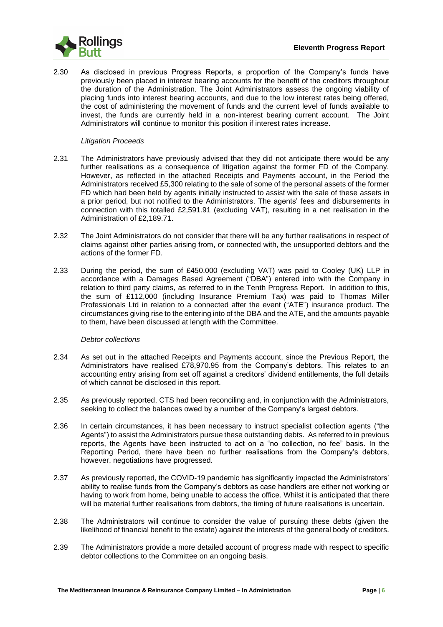

2.30 As disclosed in previous Progress Reports, a proportion of the Company's funds have previously been placed in interest bearing accounts for the benefit of the creditors throughout the duration of the Administration. The Joint Administrators assess the ongoing viability of placing funds into interest bearing accounts, and due to the low interest rates being offered, the cost of administering the movement of funds and the current level of funds available to invest, the funds are currently held in a non-interest bearing current account. The Joint Administrators will continue to monitor this position if interest rates increase.

#### *Litigation Proceeds*

- 2.31 The Administrators have previously advised that they did not anticipate there would be any further realisations as a consequence of litigation against the former FD of the Company. However, as reflected in the attached Receipts and Payments account, in the Period the Administrators received £5,300 relating to the sale of some of the personal assets of the former FD which had been held by agents initially instructed to assist with the sale of these assets in a prior period, but not notified to the Administrators. The agents' fees and disbursements in connection with this totalled £2,591.91 (excluding VAT), resulting in a net realisation in the Administration of £2,189.71.
- 2.32 The Joint Administrators do not consider that there will be any further realisations in respect of claims against other parties arising from, or connected with, the unsupported debtors and the actions of the former FD.
- 2.33 During the period, the sum of £450,000 (excluding VAT) was paid to Cooley (UK) LLP in accordance with a Damages Based Agreement ("DBA") entered into with the Company in relation to third party claims, as referred to in the Tenth Progress Report. In addition to this, the sum of £112,000 (including Insurance Premium Tax) was paid to Thomas Miller Professionals Ltd in relation to a connected after the event ("ATE") insurance product. The circumstances giving rise to the entering into of the DBA and the ATE, and the amounts payable to them, have been discussed at length with the Committee.

#### *Debtor collections*

- 2.34 As set out in the attached Receipts and Payments account, since the Previous Report, the Administrators have realised £78,970.95 from the Company's debtors. This relates to an accounting entry arising from set off against a creditors' dividend entitlements, the full details of which cannot be disclosed in this report.
- 2.35 As previously reported, CTS had been reconciling and, in conjunction with the Administrators, seeking to collect the balances owed by a number of the Company's largest debtors.
- 2.36 In certain circumstances, it has been necessary to instruct specialist collection agents ("the Agents") to assist the Administrators pursue these outstanding debts. As referred to in previous reports, the Agents have been instructed to act on a "no collection, no fee" basis. In the Reporting Period, there have been no further realisations from the Company's debtors, however, negotiations have progressed.
- 2.37 As previously reported, the COVID-19 pandemic has significantly impacted the Administrators' ability to realise funds from the Company's debtors as case handlers are either not working or having to work from home, being unable to access the office. Whilst it is anticipated that there will be material further realisations from debtors, the timing of future realisations is uncertain.
- 2.38 The Administrators will continue to consider the value of pursuing these debts (given the likelihood of financial benefit to the estate) against the interests of the general body of creditors.
- 2.39 The Administrators provide a more detailed account of progress made with respect to specific debtor collections to the Committee on an ongoing basis.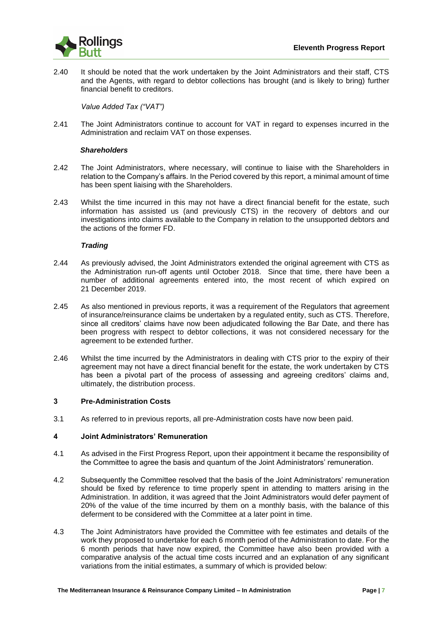

2.40 It should be noted that the work undertaken by the Joint Administrators and their staff, CTS and the Agents, with regard to debtor collections has brought (and is likely to bring) further financial benefit to creditors.

*Value Added Tax ("VAT")*

2.41 The Joint Administrators continue to account for VAT in regard to expenses incurred in the Administration and reclaim VAT on those expenses.

#### *Shareholders*

- 2.42 The Joint Administrators, where necessary, will continue to liaise with the Shareholders in relation to the Company's affairs. In the Period covered by this report, a minimal amount of time has been spent liaising with the Shareholders.
- 2.43 Whilst the time incurred in this may not have a direct financial benefit for the estate, such information has assisted us (and previously CTS) in the recovery of debtors and our investigations into claims available to the Company in relation to the unsupported debtors and the actions of the former FD.

#### *Trading*

- 2.44 As previously advised, the Joint Administrators extended the original agreement with CTS as the Administration run-off agents until October 2018. Since that time, there have been a number of additional agreements entered into, the most recent of which expired on 21 December 2019.
- 2.45 As also mentioned in previous reports, it was a requirement of the Regulators that agreement of insurance/reinsurance claims be undertaken by a regulated entity, such as CTS. Therefore, since all creditors' claims have now been adjudicated following the Bar Date, and there has been progress with respect to debtor collections, it was not considered necessary for the agreement to be extended further.
- 2.46 Whilst the time incurred by the Administrators in dealing with CTS prior to the expiry of their agreement may not have a direct financial benefit for the estate, the work undertaken by CTS has been a pivotal part of the process of assessing and agreeing creditors' claims and, ultimately, the distribution process.

#### **3 Pre-Administration Costs**

3.1 As referred to in previous reports, all pre-Administration costs have now been paid.

#### **4 Joint Administrators' Remuneration**

- 4.1 As advised in the First Progress Report, upon their appointment it became the responsibility of the Committee to agree the basis and quantum of the Joint Administrators' remuneration.
- 4.2 Subsequently the Committee resolved that the basis of the Joint Administrators' remuneration should be fixed by reference to time properly spent in attending to matters arising in the Administration. In addition, it was agreed that the Joint Administrators would defer payment of 20% of the value of the time incurred by them on a monthly basis, with the balance of this deferment to be considered with the Committee at a later point in time.
- 4.3 The Joint Administrators have provided the Committee with fee estimates and details of the work they proposed to undertake for each 6 month period of the Administration to date. For the 6 month periods that have now expired, the Committee have also been provided with a comparative analysis of the actual time costs incurred and an explanation of any significant variations from the initial estimates, a summary of which is provided below: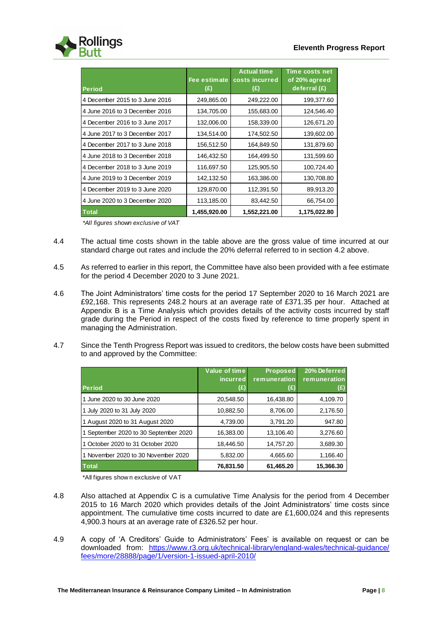

| <b>Period</b>                  | Fee estimate<br>(£) | <b>Actual time</b><br>costs incurred<br>(£) | Time costs net<br>of 20% agreed<br>deferral $(E)$ |
|--------------------------------|---------------------|---------------------------------------------|---------------------------------------------------|
| 4 December 2015 to 3 June 2016 | 249,865.00          | 249,222.00                                  | 199,377.60                                        |
| 4 June 2016 to 3 December 2016 | 134,705.00          | 155,683.00                                  | 124,546.40                                        |
| 4 December 2016 to 3 June 2017 | 132,006.00          | 158,339.00                                  | 126,671.20                                        |
| 4 June 2017 to 3 December 2017 | 134,514.00          | 174,502.50                                  | 139,602.00                                        |
| 4 December 2017 to 3 June 2018 | 156,512.50          | 164,849.50                                  | 131,879.60                                        |
| 4 June 2018 to 3 December 2018 | 146,432.50          | 164,499.50                                  | 131,599.60                                        |
| 4 December 2018 to 3 June 2019 | 116,697.50          | 125,905.50                                  | 100,724.40                                        |
| 4 June 2019 to 3 December 2019 | 142,132.50          | 163,386.00                                  | 130,708.80                                        |
| 4 December 2019 to 3 June 2020 | 129,870.00          | 112,391.50                                  | 89,913.20                                         |
| 4 June 2020 to 3 December 2020 | 113,185.00          | 83,442.50                                   | 66,754.00                                         |
| <b>Total</b>                   | 1,455,920.00        | 1,552,221.00                                | 1,175,022.80                                      |

*\*All figures shown exclusive of VAT*

- 4.4 The actual time costs shown in the table above are the gross value of time incurred at our standard charge out rates and include the 20% deferral referred to in section 4.2 above.
- 4.5 As referred to earlier in this report, the Committee have also been provided with a fee estimate for the period 4 December 2020 to 3 June 2021.
- 4.6 The Joint Administrators' time costs for the period 17 September 2020 to 16 March 2021 are £92,168. This represents 248.2 hours at an average rate of £371.35 per hour. Attached at Appendix B is a Time Analysis which provides details of the activity costs incurred by staff grade during the Period in respect of the costs fixed by reference to time properly spent in managing the Administration.
- 4.7 Since the Tenth Progress Report was issued to creditors, the below costs have been submitted to and approved by the Committee:

|                                       | Value of time          | <b>Proposed</b>     | 20% Deferred        |
|---------------------------------------|------------------------|---------------------|---------------------|
| <b>Period</b>                         | <i>incurred</i><br>(£) | remuneration<br>(E) | remuneration<br>(£) |
| 1 June 2020 to 30 June 2020           | 20,548.50              | 16,438.80           | 4,109.70            |
| 1 July 2020 to 31 July 2020           | 10,882.50              | 8,706.00            | 2,176.50            |
| 1 August 2020 to 31 August 2020       | 4,739.00               | 3,791.20            | 947.80              |
| 1 September 2020 to 30 September 2020 | 16.383.00              | 13,106.40           | 3,276.60            |
| 1 October 2020 to 31 October 2020     | 18.446.50              | 14.757.20           | 3,689.30            |
| 1 November 2020 to 30 November 2020   | 5.832.00               | 4,665.60            | 1,166.40            |
| <b>Total</b>                          | 76,831.50              | 61,465.20           | 15,366.30           |

\*All figures show n exclusive of VAT

- 4.8 Also attached at Appendix C is a cumulative Time Analysis for the period from 4 December 2015 to 16 March 2020 which provides details of the Joint Administrators' time costs since appointment. The cumulative time costs incurred to date are £1,600,024 and this represents 4,900.3 hours at an average rate of £326.52 per hour.
- 4.9 A copy of 'A Creditors' Guide to Administrators' Fees' is available on request or can be downloaded from: [https://www.r3.org.uk/technical-library/england-wales/technical-guidance/](https://www.r3.org.uk/technical-library/england-wales/technical-guidance/%20fees/more/28888/page/1/version-1-issued-april-2010/)  [fees/more/28888/page/1/version-1-issued-april-2010/](https://www.r3.org.uk/technical-library/england-wales/technical-guidance/%20fees/more/28888/page/1/version-1-issued-april-2010/)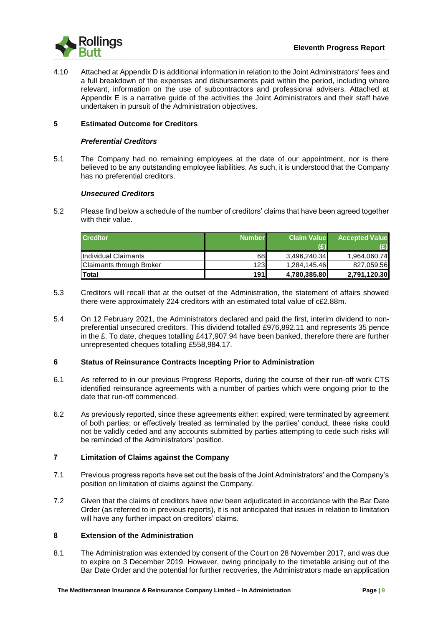

4.10 Attached at Appendix D is additional information in relation to the Joint Administrators' fees and a full breakdown of the expenses and disbursements paid within the period, including where relevant, information on the use of subcontractors and professional advisers. Attached at Appendix E is a narrative guide of the activities the Joint Administrators and their staff have undertaken in pursuit of the Administration objectives.

#### **5 Estimated Outcome for Creditors**

#### *Preferential Creditors*

5.1 The Company had no remaining employees at the date of our appointment, nor is there believed to be any outstanding employee liabilities. As such, it is understood that the Company has no preferential creditors.

#### *Unsecured Creditors*

5.2 Please find below a schedule of the number of creditors' claims that have been agreed together with their value.

| <b>Creditor</b>          | <b>Number</b> | <b>Claim Value</b> | <b>Accepted Value</b> |
|--------------------------|---------------|--------------------|-----------------------|
|                          |               | (£)                |                       |
| Individual Claimants     | 68            | 3.496.240.34       | 1.964.060.74          |
| Claimants through Broker | 123I          | 1.284.145.46       | 827.059.56            |
| <b>Total</b>             | 191           | 4,780,385.80       | 2.791.120.30          |

- 5.3 Creditors will recall that at the outset of the Administration, the statement of affairs showed there were approximately 224 creditors with an estimated total value of c£2.88m.
- 5.4 On 12 February 2021, the Administrators declared and paid the first, interim dividend to nonpreferential unsecured creditors. This dividend totalled £976,892.11 and represents 35 pence in the £. To date, cheques totalling £417,907.94 have been banked, therefore there are further unrepresented cheques totalling £558,984.17.

#### **6 Status of Reinsurance Contracts Incepting Prior to Administration**

- 6.1 As referred to in our previous Progress Reports, during the course of their run-off work CTS identified reinsurance agreements with a number of parties which were ongoing prior to the date that run-off commenced.
- 6.2 As previously reported, since these agreements either: expired; were terminated by agreement of both parties; or effectively treated as terminated by the parties' conduct, these risks could not be validly ceded and any accounts submitted by parties attempting to cede such risks will be reminded of the Administrators' position.

#### **7 Limitation of Claims against the Company**

- 7.1 Previous progress reports have set out the basis of the Joint Administrators' and the Company's position on limitation of claims against the Company.
- 7.2 Given that the claims of creditors have now been adjudicated in accordance with the Bar Date Order (as referred to in previous reports), it is not anticipated that issues in relation to limitation will have any further impact on creditors' claims.

### **8 Extension of the Administration**

8.1 The Administration was extended by consent of the Court on 28 November 2017, and was due to expire on 3 December 2019. However, owing principally to the timetable arising out of the Bar Date Order and the potential for further recoveries, the Administrators made an application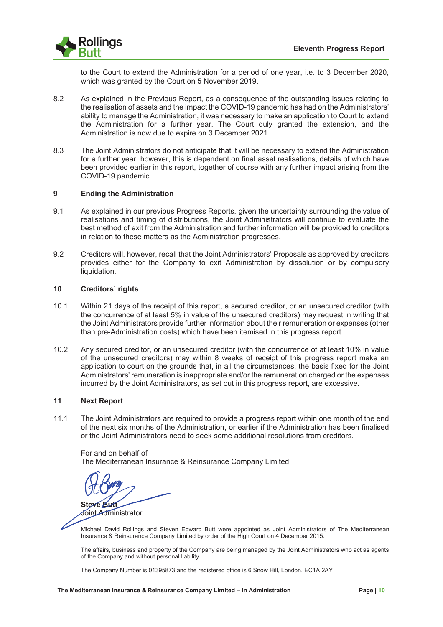

to the Court to extend the Administration for a period of one year, i.e. to 3 December 2020, which was granted by the Court on 5 November 2019.

- 8.2 As explained in the Previous Report, as a consequence of the outstanding issues relating to the realisation of assets and the impact the COVID-19 pandemic has had on the Administrators' ability to manage the Administration, it was necessary to make an application to Court to extend the Administration for a further year. The Court duly granted the extension, and the Administration is now due to expire on 3 December 2021.
- 8.3 The Joint Administrators do not anticipate that it will be necessary to extend the Administration for a further year, however, this is dependent on final asset realisations, details of which have been provided earlier in this report, together of course with any further impact arising from the COVID-19 pandemic.

#### **) Ending the Administration**

- 9.1 As explained in our previous Progress Reports, given the uncertainty surrounding the value of realisations and timing of distributions, the Joint Administrators will continue to evaluate the best method of exit from the Administration and further information will be provided to creditors in relation to these matters as the Administration progresses.
- 9.2 Creditors will, however, recall that the Joint Administrators' Proposals as approved by creditors provides either for the Company to exit Administration by dissolution or by compulsory liquidation.

#### **!\* Creditors' rights**

- 10.1 Within 21 days of the receipt of this report, a secured creditor, or an unsecured creditor (with the concurrence of at least 5% in value of the unsecured creditors) may request in writing that the Joint Administrators provide further information about their remuneration or expenses (other than pre-Administration costs) which have been itemised in this progress report.
- 10.2 Any secured creditor, or an unsecured creditor (with the concurrence of at least 10% in value of the unsecured creditors) may within 8 weeks of receipt of this progress report make an application to court on the grounds that, in all the circumstances, the basis fixed for the Joint Administrators' remuneration is inappropriate and/or the remuneration charged or the expenses incurred by the Joint Administrators, as set out in this progress report, are excessive.

#### **!! Next Report**

11.1 The Joint Administrators are required to provide a progress report within one month of the end of the next six months of the Administration, or earlier if the Administration has been finalised or the Joint Administrators need to seek some additional resolutions from creditors.

For and on behalf of The Mediterranean Insurance & Reinsurance Company Limited

Steve **Butt Steve Butt**<br>Joint Administrator<br>Michael David Pollinge and Stave

Joint Administrator Administrator

Michael David Rollings and Steven Edward Butt were appointed as Joint Administrators of The Mediterranean Insurance & Reinsurance Company Limited by order of the High Court on 4 December 2015.

The affairs, business and property of the Company are being managed by the Joint Administrators who act as agents of the Company and without personal liability.

The Company Number is 01395873 and the registered office is 6 Snow Hill, London, EC1A 2AY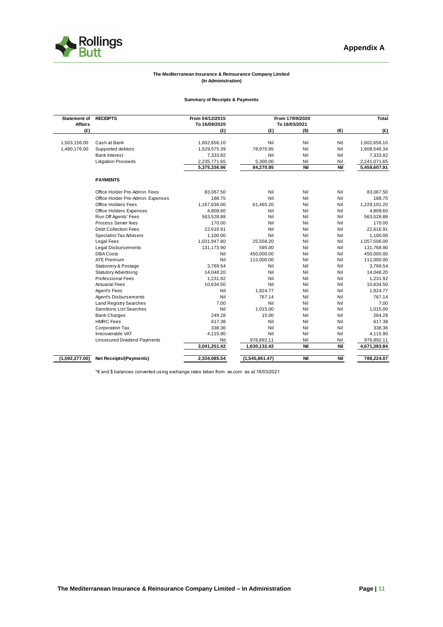

#### **The Mediterranean Insurance & Reinsurance Company Limited (In Administration)**

#### **Summary of Receipts & Payments**

| <b>Statement of</b> | <b>RECEIPTS</b>                    | From 04/12/2015 |                             | From 17/09/2020 |     | Total        |
|---------------------|------------------------------------|-----------------|-----------------------------|-----------------|-----|--------------|
| <b>Affairs</b>      |                                    | To 16/09/2020   | To 16/03/2021               |                 |     |              |
| (E)                 |                                    | (E)             | (E)                         | $($ \$)         | (€) | (E)          |
| 1,503,156.00        | Cash at Bank                       | 1,602,656.10    | Nil                         | Nil             | Nil | 1,602,656.10 |
| 1,480,176.00        | Supported debtors                  | 1,529,575.39    | 78,970.95                   | Nil             | Nil | 1,608,546.34 |
|                     | <b>Bank Interest</b>               | 7,333.82        | Nil                         | Nil             | Nil | 7,333.82     |
|                     | <b>Litigation Proceeds</b>         | 2,235,771.65    | 5,300.00                    | Nil             | Nil | 2,241,071.65 |
|                     |                                    | 5,375,336.96    | 84,270.95                   | Nil             | Nil | 5,459,607.91 |
|                     |                                    |                 |                             |                 |     |              |
|                     | <b>PAYMENTS</b>                    |                 |                             |                 |     |              |
|                     | Office Holder Pre-Admin, Fees      | 83,067.50       | Nil                         | Nil             | Nil | 83,067.50    |
|                     | Office Holder Pre-Admin. Expenses  | 188.75          | Nil                         | Nil             | Nil | 188.75       |
|                     | <b>Office Holders Fees</b>         | 1,167,636.00    | 61,465.20                   | Nil             | Nil | 1,229,101.20 |
|                     | Office Holders Expenses            | 4,809.60        | Nil                         | Nil             | Nil | 4,809.60     |
|                     | Run Off Agents' Fees               | 563.528.88      | Nil                         | Nil             | Nil | 563,528.88   |
|                     | Process Server fees                | 170.00          | Nil                         | Nil             | Nil | 170.00       |
|                     | Debt Collection Fees               | 22,616.91       | Nil                         | Nil             | Nil | 22,616.91    |
|                     | <b>Specialist Tax Advisers</b>     | 1,100.00        | Nil                         | Nil             | Nil | 1,100.00     |
|                     | <b>Legal Fees</b>                  | 1,031,947.80    | 25,558.20                   | Nil             | Nil | 1,057,506.00 |
|                     | Legal Disbursements                | 131,173.90      | 595.00                      | Nil             | Nil | 131,768.90   |
|                     | <b>DBA Costs</b>                   | Nil             | 450,000.00                  | Nil             | Nil | 450,000.00   |
|                     | <b>ATE Premium</b>                 | Nil             | 112,000.00                  | Nil             | Nil | 112,000.00   |
|                     | Stationery & Postage               | 3,769.54        | Nil                         | Nil             | Nil | 3,769.54     |
|                     | <b>Statutory Advertising</b>       | 14,048.20       | Nil                         | Nil             | Nil | 14,048.20    |
|                     | <b>Professional Fees</b>           | 1.231.92        | Nil                         | Nil             | Nil | 1,231.92     |
|                     | <b>Actuarial Fees</b>              | 10,634.50       | Nil                         | Nil             | Nil | 10,634.50    |
|                     | Agent's Fees                       | Nil             | 1,824.77                    | Nil             | Nil | 1,824.77     |
|                     | Agent's Disbursements              | Nil             | 767.14                      | Nil             | Nil | 767.14       |
|                     | <b>Land Registry Searches</b>      | 7.00            | Nil                         | Nil             | Nil | 7.00         |
|                     | <b>Sanctions List Searches</b>     | Nil             | 1.015.00                    | Nil             | Nil | 1,015.00     |
|                     | <b>Bank Charges</b>                | 249.28          | 15.00                       | Nil             | Nil | 264.28       |
|                     | <b>HMRC</b> Fees                   | 617.38          | Nil                         | Nil             | Nil | 617.38       |
|                     | <b>Corporation Tax</b>             | 338.36          | Nil                         | Nil             | Nil | 338.36       |
|                     | Irrecoverable VAT                  | 4.115.90        | Nil                         | Nil             | Nil | 4,115.90     |
|                     | <b>Unsecured Dividend Payments</b> | Nil             | 976,892.11                  | Nil             | Nil | 976,892.11   |
|                     |                                    | 3,041,251.42    | 1,630,132.42                | Nil             | Nil | 4,671,383.84 |
| (1,592,277.00)      | Net Receipts/(Payments)            | 2,334,085.54    | $\overline{(1,545,861.47)}$ | Nil             | Nil | 788,224.07   |

\*€ and \$ balances converted using exchange rates taken from xe.com as at 16/03/2021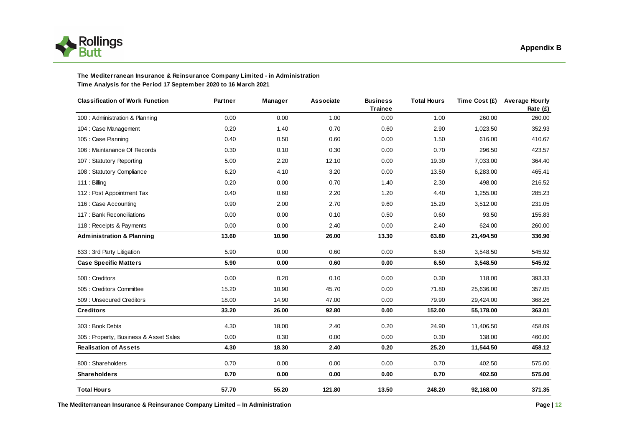

#### **The Mediterranean Insurance & Reinsurance Company Limited - in Administration Time Analysis for the Period 17 September 2020 to 16 March 2021**

| <b>Classification of Work Function</b> | Partner | Manager | <b>Associate</b> | <b>Business</b><br><b>Trainee</b> | <b>Total Hours</b> |           | Time Cost (£) Average Hourly<br>Rate (£) |
|----------------------------------------|---------|---------|------------------|-----------------------------------|--------------------|-----------|------------------------------------------|
| 100 : Administration & Planning        | 0.00    | 0.00    | 1.00             | 0.00                              | 1.00               | 260.00    | 260.00                                   |
| 104 : Case Management                  | 0.20    | 1.40    | 0.70             | 0.60                              | 2.90               | 1,023.50  | 352.93                                   |
| 105 : Case Planning                    | 0.40    | 0.50    | 0.60             | 0.00                              | 1.50               | 616.00    | 410.67                                   |
| 106 : Maintanance Of Records           | 0.30    | 0.10    | 0.30             | 0.00                              | 0.70               | 296.50    | 423.57                                   |
| 107: Statutory Reporting               | 5.00    | 2.20    | 12.10            | 0.00                              | 19.30              | 7,033.00  | 364.40                                   |
| 108 : Statutory Compliance             | 6.20    | 4.10    | 3.20             | 0.00                              | 13.50              | 6,283.00  | 465.41                                   |
| 111: Billing                           | 0.20    | 0.00    | 0.70             | 1.40                              | 2.30               | 498.00    | 216.52                                   |
| 112: Post Appointment Tax              | 0.40    | 0.60    | 2.20             | 1.20                              | 4.40               | 1,255.00  | 285.23                                   |
| 116 : Case Accounting                  | 0.90    | 2.00    | 2.70             | 9.60                              | 15.20              | 3,512.00  | 231.05                                   |
| 117 : Bank Reconciliations             | 0.00    | 0.00    | 0.10             | 0.50                              | 0.60               | 93.50     | 155.83                                   |
| 118 : Receipts & Payments              | 0.00    | 0.00    | 2.40             | 0.00                              | 2.40               | 624.00    | 260.00                                   |
| <b>Administration &amp; Planning</b>   | 13.60   | 10.90   | 26.00            | 13.30                             | 63.80              | 21,494.50 | 336.90                                   |
| 633 : 3rd Party Litigation             | 5.90    | 0.00    | 0.60             | 0.00                              | 6.50               | 3,548.50  | 545.92                                   |
| <b>Case Specific Matters</b>           | 5.90    | 0.00    | 0.60             | 0.00                              | 6.50               | 3,548.50  | 545.92                                   |
| 500 : Creditors                        | 0.00    | 0.20    | 0.10             | 0.00                              | 0.30               | 118.00    | 393.33                                   |
| 505 : Creditors Committee              | 15.20   | 10.90   | 45.70            | 0.00                              | 71.80              | 25,636.00 | 357.05                                   |
| 509 : Unsecured Creditors              | 18.00   | 14.90   | 47.00            | 0.00                              | 79.90              | 29,424.00 | 368.26                                   |
| <b>Creditors</b>                       | 33.20   | 26.00   | 92.80            | 0.00                              | 152.00             | 55,178.00 | 363.01                                   |
| 303: Book Debts                        | 4.30    | 18.00   | 2.40             | 0.20                              | 24.90              | 11,406.50 | 458.09                                   |
| 305: Property, Business & Asset Sales  | 0.00    | 0.30    | 0.00             | 0.00                              | 0.30               | 138.00    | 460.00                                   |
| <b>Realisation of Assets</b>           | 4.30    | 18.30   | 2.40             | 0.20                              | 25.20              | 11,544.50 | 458.12                                   |
| 800: Shareholders                      | 0.70    | 0.00    | 0.00             | 0.00                              | 0.70               | 402.50    | 575.00                                   |
| <b>Shareholders</b>                    | 0.70    | 0.00    | 0.00             | 0.00                              | 0.70               | 402.50    | 575.00                                   |
| <b>Total Hours</b>                     | 57.70   | 55.20   | 121.80           | 13.50                             | 248.20             | 92,168.00 | 371.35                                   |

**The Mediterranean Insurance & Reinsurance Company Limited – In Administration Page | 12**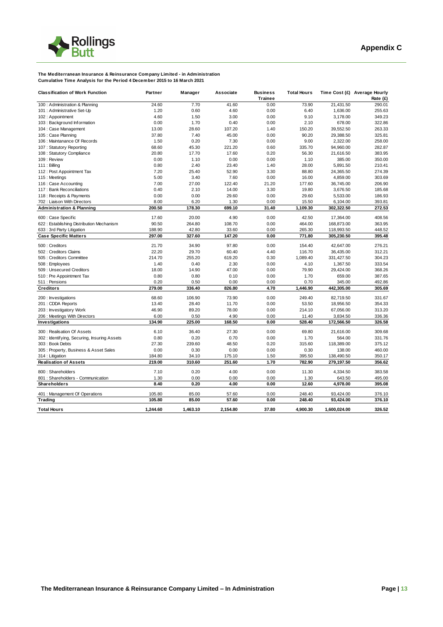

#### **The Mediterranean Insurance & Reinsurance Company Limited - in Administration Cumulative Time Analysis for the Period 4 December 2015 to 16 March 2021**

| <b>Classification of Work Function</b>      | Partner  | Manager  | <b>Associate</b> | <b>Business</b> | <b>Total Hours</b> |              | Time Cost (£) Average Hourly |
|---------------------------------------------|----------|----------|------------------|-----------------|--------------------|--------------|------------------------------|
|                                             |          |          |                  | <b>Trainee</b>  |                    |              | Rate (£)                     |
| 100 : Administration & Planning             | 24.60    | 7.70     | 41.60            | 0.00            | 73.90              | 21,431.50    | 290.01                       |
| 101 : Administrative Set-Up                 | 1.20     | 0.60     | 4.60             | 0.00            | 6.40               | 1,636.00     | 255.63                       |
| 102: Appointment                            | 4.60     | 1.50     | 3.00             | 0.00            | 9.10               | 3,178.00     | 349.23                       |
| 103: Background Information                 | 0.00     | 1.70     | 0.40             | 0.00            | 2.10               | 678.00       | 322.86                       |
| 104 : Case Management                       | 13.00    | 28.60    | 107.20           | 1.40            | 150.20             | 39.552.50    | 263.33                       |
| 105 : Case Planning                         | 37.80    | 7.40     | 45.00            | 0.00            | 90.20              | 29,388.50    | 325.81                       |
| 106 : Maintanance Of Records                | 1.50     | 0.20     | 7.30             | 0.00            | 9.00               | 2,322.00     | 258.00                       |
| 107: Statutory Reporting                    | 68.60    | 45.30    | 221.20           | 0.60            | 335.70             | 94,960.00    | 282.87                       |
| 108 : Statutory Compliance                  | 20.80    | 17.70    | 17.60            | 0.20            | 56.30              | 21,616.50    | 383.95                       |
| 109 : Review                                | 0.00     | 1.10     | 0.00             | 0.00            | 1.10               | 385.00       | 350.00                       |
| $111:$ Billing                              | 0.80     | 2.40     | 23.40            | 1.40            | 28.00              | 5,891.50     | 210.41                       |
| 112 : Post Appointment Tax                  | 7.20     | 25.40    | 52.90            | 3.30            | 88.80              | 24,365.50    | 274.39                       |
| 115 : Meetings                              | 5.00     | 3.40     | 7.60             | 0.00            | 16.00              | 4,859.00     | 303.69                       |
| 116 : Case Accounting                       | 7.00     | 27.00    | 122.40           | 21.20           | 177.60             | 36,745.00    | 206.90                       |
| 117 : Bank Reconciliations                  | 0.40     | 2.10     | 14.00            | 3.30            | 19.80              | 3,676.50     | 185.68                       |
| 118 : Receipts & Payments                   | 0.00     | 0.00     | 29.60            | 0.00            | 29.60              | 5,533.00     | 186.93                       |
| 702 : Liaison With Directors                | 8.00     | 6.20     | 1.30             | 0.00            | 15.50              | 6,104.00     | 393.81                       |
| <b>Administration &amp; Planning</b>        | 200.50   | 178.30   | 699.10           | 31.40           | 1,109.30           | 302,322.50   | 272.53                       |
| 600 : Case Specific                         | 17.60    | 20.00    | 4.90             | 0.00            | 42.50              | 17,364.00    | 408.56                       |
| 622 : Establishing Distribution Mechanism   | 90.50    | 264.80   | 108.70           | 0.00            | 464.00             | 168,873.00   | 363.95                       |
| 633 : 3rd Party Litigation                  | 188.90   | 42.80    | 33.60            | 0.00            | 265.30             | 118,993.50   | 448.52                       |
| <b>Case Specific Matters</b>                | 297.00   | 327.60   | 147.20           | 0.00            | 771.80             | 305,230.50   | 395.48                       |
| 500 : Creditors                             | 21.70    | 34.90    | 97.80            | 0.00            | 154.40             | 42.647.00    | 276.21                       |
| 502 : Creditors Claims                      | 22.20    | 29.70    | 60.40            | 4.40            | 116.70             | 36,435.00    | 312.21                       |
| 505 : Creditors Committee                   | 214.70   | 255.20   | 619.20           | 0.30            | 1,089.40           | 331,427.50   | 304.23                       |
| 508 : Employees                             | 1.40     | 0.40     | 2.30             | 0.00            | 4.10               | 1,367.50     | 333.54                       |
| 509 : Unsecured Creditors                   | 18.00    | 14.90    | 47.00            | 0.00            | 79.90              | 29,424.00    | 368.26                       |
| 510 : Pre Appointment Tax                   | 0.80     | 0.80     | 0.10             | 0.00            | 1.70               | 659.00       | 387.65                       |
| 511 : Pensions                              | 0.20     | 0.50     | 0.00             | 0.00            | 0.70               | 345.00       | 492.86                       |
| <b>Creditors</b>                            | 279.00   | 336.40   | 826.80           | 4.70            | 1,446.90           | 442,305.00   | 305.69                       |
|                                             |          |          |                  |                 |                    |              |                              |
| 200 : Investigations                        | 68.60    | 106.90   | 73.90            | 0.00            | 249.40             | 82,719.50    | 331.67                       |
| 201 : CDDA Reports                          | 13.40    | 28.40    | 11.70            | 0.00            | 53.50              | 18.956.50    | 354.33                       |
| 203 : Investigatory Work                    | 46.90    | 89.20    | 78.00            | 0.00            | 214.10             | 67,056.00    | 313.20                       |
| 206 : Meetings With Directors               | 6.00     | 0.50     | 4.90             | 0.00            | 11.40              | 3,834.50     | 336.36                       |
| Investigations                              | 134.90   | 225.00   | 168.50           | 0.00            | 528.40             | 172,566.50   | 326.58                       |
| 300 : Realisation Of Assets                 | 6.10     | 36.40    | 27.30            | 0.00            | 69.80              | 21,616.00    | 309.68                       |
| 302: Identifying, Securing, Insuring Assets | 0.80     | 0.20     | 0.70             | 0.00            | 1.70               | 564.00       | 331.76                       |
| 303 : Book Debts                            | 27.30    | 239.60   | 48.50            | 0.20            | 315.60             | 118,389.00   | 375.12                       |
| 305 : Property, Business & Asset Sales      | 0.00     | 0.30     | 0.00             | 0.00            | 0.30               | 138.00       | 460.00                       |
| 314 : Litigation                            | 184.80   | 34.10    | 175.10           | 1.50            | 395.50             | 138,490.50   | 350.17                       |
| <b>Realisation of Assets</b>                | 219.00   | 310.60   | 251.60           | 1.70            | 782.90             | 279,197.50   | 356.62                       |
|                                             |          |          |                  |                 |                    |              |                              |
| 800 : Shareholders                          | 7.10     | 0.20     | 4.00             | 0.00            | 11.30              | 4,334.50     | 383.58                       |
| 801 : Shareholders - Communication          | 1.30     | 0.00     | 0.00             | 0.00            | 1.30               | 643.50       | 495.00                       |
| Shareholders                                | 8.40     | 0.20     | 4.00             | 0.00            | 12.60              | 4,978.00     | 395.08                       |
| 401 : Management Of Operations              | 105.80   | 85.00    | 57.60            | 0.00            | 248.40             | 93,424.00    | 376.10                       |
| Trading                                     | 105.80   | 85.00    | 57.60            | 0.00            | 248.40             | 93,424.00    | 376.10                       |
| <b>Total Hours</b>                          | 1,244.60 | 1,463.10 | 2,154.80         | 37.80           | 4,900.30           | 1,600,024.00 | 326.52                       |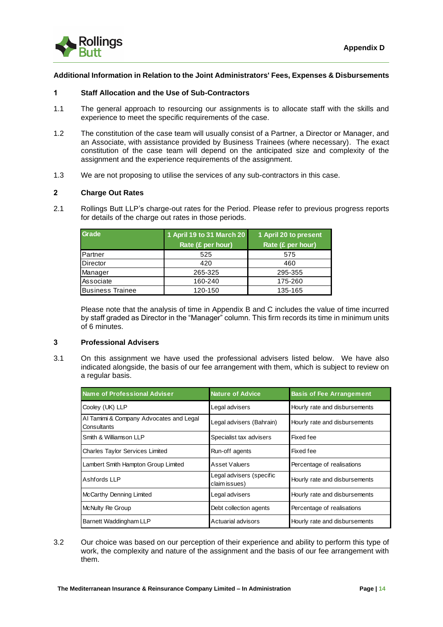

#### **Additional Information in Relation to the Joint Administrators' Fees, Expenses & Disbursements**

#### **1 Staff Allocation and the Use of Sub-Contractors**

- 1.1 The general approach to resourcing our assignments is to allocate staff with the skills and experience to meet the specific requirements of the case.
- 1.2 The constitution of the case team will usually consist of a Partner, a Director or Manager, and an Associate, with assistance provided by Business Trainees (where necessary). The exact constitution of the case team will depend on the anticipated size and complexity of the assignment and the experience requirements of the assignment.
- 1.3 We are not proposing to utilise the services of any sub-contractors in this case.

#### **2 Charge Out Rates**

2.1 Rollings Butt LLP's charge-out rates for the Period. Please refer to previous progress reports for details of the charge out rates in those periods.

| Grade                   | 1 April 19 to 31 March 20<br>Rate (£ per hour) | 1 April 20 to present<br>Rate (£ per hour) |
|-------------------------|------------------------------------------------|--------------------------------------------|
| Partner                 | 525                                            | 575                                        |
| Director                | 420                                            | 460                                        |
| Manager                 | 265-325                                        | 295-355                                    |
| Associate               | 160-240                                        | 175-260                                    |
| <b>Business Trainee</b> | 120-150                                        | 135-165                                    |

Please note that the analysis of time in Appendix B and C includes the value of time incurred by staff graded as Director in the "Manager" column. This firm records its time in minimum units of 6 minutes.

#### **3 Professional Advisers**

3.1 On this assignment we have used the professional advisers listed below. We have also indicated alongside, the basis of our fee arrangement with them, which is subject to review on a regular basis.

| Name of Professional Adviser                           | <b>Nature of Advice</b>                   | <b>Basis of Fee Arrangement</b> |
|--------------------------------------------------------|-------------------------------------------|---------------------------------|
| Cooley (UK) LLP                                        | Legal advisers                            | Hourly rate and disbursements   |
| Al Tamimi & Company Advocates and Legal<br>Consultants | Legal advisers (Bahrain)                  | Hourly rate and disbursements   |
| Smith & Williamson LLP                                 | Specialist tax advisers                   | Fixed fee                       |
| Charles Taylor Services Limited                        | Run-off agents                            | Fixed fee                       |
| Lambert Smith Hampton Group Limited                    | Asset Valuers                             | Percentage of realisations      |
| Ashfords LLP                                           | Legal advisers (specific<br>claim issues) | Hourly rate and disbursements   |
| McCarthy Denning Limited                               | Legal advisers                            | Hourly rate and disbursements   |
| McNulty Re Group                                       | Debt collection agents                    | Percentage of realisations      |
| Barnett Waddingham LLP                                 | Actuarial advisors                        | Hourly rate and disbursements   |

3.2 Our choice was based on our perception of their experience and ability to perform this type of work, the complexity and nature of the assignment and the basis of our fee arrangement with them.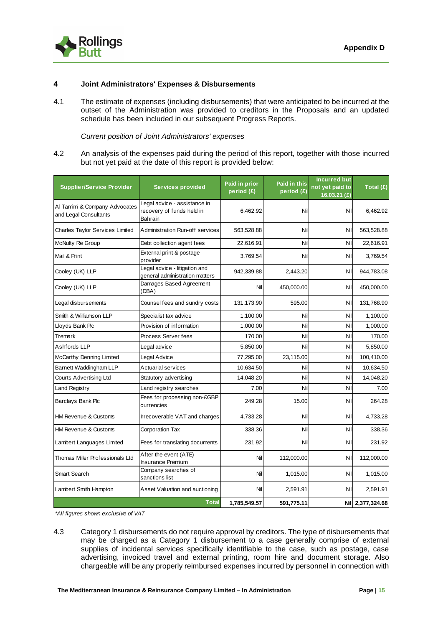

#### **4 Joint Administrators' Expenses & Disbursements**

4.1 The estimate of expenses (including disbursements) that were anticipated to be incurred at the outset of the Administration was provided to creditors in the Proposals and an updated schedule has been included in our subsequent Progress Reports.

*Current position of Joint Administrators' expenses*

4.2 An analysis of the expenses paid during the period of this report, together with those incurred but not yet paid at the date of this report is provided below:

| <b>Supplier/Service Provider</b>                       | <b>Services provided</b>                                             | Paid in prior<br>period (£) | Paid in this<br>period (£) | <b>Incurred but</b><br>not yet paid to<br>16.03.21 (£) | Total (£)        |
|--------------------------------------------------------|----------------------------------------------------------------------|-----------------------------|----------------------------|--------------------------------------------------------|------------------|
| Al Tamimi & Company Advocates<br>and Legal Consultants | Legal advice - assistance in<br>recovery of funds held in<br>Bahrain | 6,462.92                    | Nil                        | Nil                                                    | 6,462.92         |
| <b>Charles Taylor Services Limited</b>                 | <b>Administration Run-off services</b>                               | 563,528.88                  | Nil                        | Nil                                                    | 563,528.88       |
| McNulty Re Group                                       | Debt collection agent fees                                           | 22,616.91                   | Nil                        | Nil                                                    | 22,616.91        |
| Mail & Print                                           | External print & postage<br>provider                                 | 3,769.54                    | Nil                        | Nil                                                    | 3,769.54         |
| Cooley (UK) LLP                                        | Legal advice - litigation and<br>general administration matters      | 942,339.88                  | 2,443.20                   | Nil                                                    | 944,783.08       |
| Cooley (UK) LLP                                        | Damages Based Agreement<br>(DBA)                                     | Nil                         | 450,000.00                 | Nil                                                    | 450,000.00       |
| Legal disbursements                                    | Counsel fees and sundry costs                                        | 131,173.90                  | 595.00                     | Nil                                                    | 131,768.90       |
| Smith & Williamson LLP                                 | Specialist tax advice                                                | 1,100.00                    | Nil                        | Nil                                                    | 1,100.00         |
| Lloyds Bank Plc                                        | Provision of information                                             | 1,000.00                    | Nil                        | Nil                                                    | 1,000.00         |
| Tremark                                                | Process Server fees                                                  | 170.00                      | Nil                        | Nil                                                    | 170.00           |
| Ashfords LLP                                           | Legal advice                                                         | 5,850.00                    | Nil                        | Nil                                                    | 5,850.00         |
| McCarthy Denning Limited                               | Legal Advice                                                         | 77,295.00                   | 23,115.00                  | Nil                                                    | 100,410.00       |
| Barnett Waddingham LLP                                 | <b>Actuarial services</b>                                            | 10,634.50                   | Nil                        | Nil                                                    | 10,634.50        |
| <b>Courts Advertising Ltd</b>                          | Statutory advertising                                                | 14,048.20                   | Nil                        | Nil                                                    | 14,048.20        |
| <b>Land Registry</b>                                   | Land registry searches                                               | 7.00                        | Nil                        | Nil                                                    | 7.00             |
| Barclays Bank Plc                                      | Fees for processing non-£GBP<br>currencies                           | 249.28                      | 15.00                      | Nil                                                    | 264.28           |
| <b>HM Revenue &amp; Customs</b>                        | Irrecoverable VAT and charges                                        | 4,733.28                    | Nil                        | Nil                                                    | 4,733.28         |
| HM Revenue & Customs                                   | Corporation Tax                                                      | 338.36                      | Nil                        | Nil                                                    | 338.36           |
| Lambert Languages Limited                              | Fees for translating documents                                       | 231.92                      | Nil                        | Nil                                                    | 231.92           |
| Thomas Miller Professionals Ltd                        | After the event (ATE)<br><b>Insurance Premium</b>                    | Nil                         | 112,000.00                 | Nil                                                    | 112,000.00       |
| Smart Search                                           | Company searches of<br>sanctions list                                | Nil                         | 1,015.00                   | Nil                                                    | 1,015.00         |
| Lambert Smith Hampton                                  | Asset Valuation and auctioning                                       | Nil                         | 2,591.91                   | Nil                                                    | 2,591.91         |
|                                                        | <b>Total</b>                                                         | 1,785,549.57                | 591,775.11                 |                                                        | Nil 2,377,324.68 |

*\*All figures shown exclusive of VAT*

4.3 Category 1 disbursements do not require approval by creditors. The type of disbursements that may be charged as a Category 1 disbursement to a case generally comprise of external supplies of incidental services specifically identifiable to the case, such as postage, case advertising, invoiced travel and external printing, room hire and document storage. Also chargeable will be any properly reimbursed expenses incurred by personnel in connection with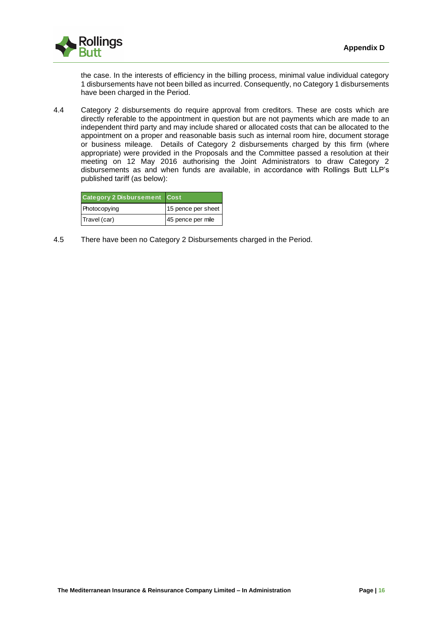

the case. In the interests of efficiency in the billing process, minimal value individual category 1 disbursements have not been billed as incurred. Consequently, no Category 1 disbursements have been charged in the Period.

4.4 Category 2 disbursements do require approval from creditors. These are costs which are directly referable to the appointment in question but are not payments which are made to an independent third party and may include shared or allocated costs that can be allocated to the appointment on a proper and reasonable basis such as internal room hire, document storage or business mileage. Details of Category 2 disbursements charged by this firm (where appropriate) were provided in the Proposals and the Committee passed a resolution at their meeting on 12 May 2016 authorising the Joint Administrators to draw Category 2 disbursements as and when funds are available, in accordance with Rollings Butt LLP's published tariff (as below):

| <b>Category 2 Disbursement Cost</b> |                    |
|-------------------------------------|--------------------|
| Photocopying                        | 15 pence per sheet |
| Travel (car)                        | 45 pence per mile  |

4.5 There have been no Category 2 Disbursements charged in the Period.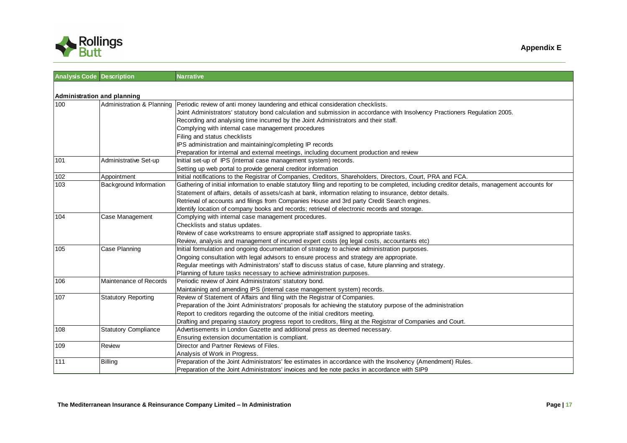

| <b>Analysis Code Description</b>   |                             | <b>Narrative</b>                                                                                                                               |
|------------------------------------|-----------------------------|------------------------------------------------------------------------------------------------------------------------------------------------|
|                                    |                             |                                                                                                                                                |
| <b>Administration and planning</b> |                             |                                                                                                                                                |
| 100                                | Administration & Planning   | Periodic review of anti money laundering and ethical consideration checklists.                                                                 |
|                                    |                             | Joint Administrators' statutory bond calculation and submission in accordance with Insolvency Practioners Regulation 2005.                     |
|                                    |                             | Recording and analysing time incurred by the Joint Administrators and their staff.                                                             |
|                                    |                             | Complying with internal case management procedures                                                                                             |
|                                    |                             | Filing and status checklists                                                                                                                   |
|                                    |                             | IPS administration and maintaining/completing IP records                                                                                       |
|                                    |                             | Preparation for internal and external meetings, including document production and review                                                       |
| 101                                | Administrative Set-up       | Initial set-up of IPS (internal case management system) records.                                                                               |
|                                    |                             | Setting up web portal to provide general creditor information                                                                                  |
| 102                                | Appointment                 | Initial notifications to the Registrar of Companies, Creditors, Shareholders, Directors, Court, PRA and FCA.                                   |
| 103                                | Background Information      | Gathering of initial information to enable statutory filing and reporting to be completed, including creditor details, management accounts for |
|                                    |                             | Statement of affairs, details of assets/cash at bank, information relating to insurance, debtor details.                                       |
|                                    |                             | Retrieval of accounts and filings from Companies House and 3rd party Credit Search engines.                                                    |
|                                    |                             | Identify location of company books and records; retrieval of electronic records and storage.                                                   |
| 104                                | Case Management             | Complying with internal case management procedures.                                                                                            |
|                                    |                             | Checklists and status updates.                                                                                                                 |
|                                    |                             | Review of case workstreams to ensure appropriate staff assigned to appropriate tasks.                                                          |
|                                    |                             | Review, analysis and management of incurred expert costs (eg legal costs, accountants etc)                                                     |
| 105                                | Case Planning               | Initial formulation and ongoing documentation of strategy to achieve administration purposes.                                                  |
|                                    |                             | Ongoing consultation with legal advisors to ensure process and strategy are appropriate.                                                       |
|                                    |                             | Regular meetings with Administrators' staff to discuss status of case, future planning and strategy.                                           |
|                                    |                             | Planning of future tasks necessary to achieve administration purposes.                                                                         |
| 106                                | Maintenance of Records      | Periodic review of Joint Administrators' statutory bond.                                                                                       |
|                                    |                             | Maintaining and amending IPS (internal case management system) records.                                                                        |
| 107                                | <b>Statutory Reporting</b>  | Review of Statement of Affairs and filing with the Registrar of Companies.                                                                     |
|                                    |                             | Preparation of the Joint Administrators' proposals for achieving the statutory purpose of the administration                                   |
|                                    |                             | Report to creditors regarding the outcome of the initial creditors meeting.                                                                    |
|                                    |                             | Drafting and preparing stautory progress report to creditors, filing at the Registrar of Companies and Court.                                  |
| 108                                | <b>Statutory Compliance</b> | Advertisements in London Gazette and additional press as deemed necessary.                                                                     |
|                                    |                             | Ensuring extension documentation is compliant.                                                                                                 |
| 109                                | Review                      | Director and Partner Reviews of Files.                                                                                                         |
|                                    |                             | Analysis of Work in Progress.                                                                                                                  |
| 111                                | Billing                     | Preparation of the Joint Administrators' fee estimates in accordance with the Insolvency (Amendment) Rules.                                    |
|                                    |                             | Preparation of the Joint Administrators' invoices and fee note packs in accordance with SIP9                                                   |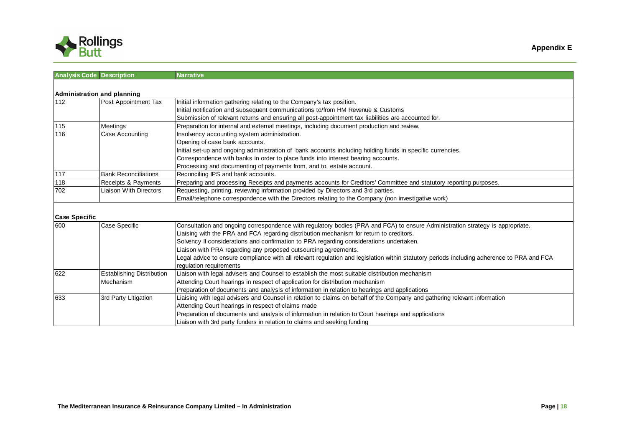

|     | DULL                             |                                                                                                     |
|-----|----------------------------------|-----------------------------------------------------------------------------------------------------|
|     | <b>Analysis Code Description</b> | <b>Narrative</b>                                                                                    |
|     | Administration and planning      |                                                                                                     |
| 112 | Post Appointment Tax             | Initial information gathering relating to the Company's tax position.                               |
|     |                                  | Initial notification and subsequent communications to/from HM Revenue & Customs                     |
|     |                                  | Submission of relevant returns and ensuring all post-appointment tax liabilities are accounted for. |
| 115 | <b>IMeetings</b>                 | Preparation for internal and external meetings, including document production and review.           |

|                      |                               | Submission of relevant returns and ensuring all post-appointment tax liabilities are accounted for.                            |
|----------------------|-------------------------------|--------------------------------------------------------------------------------------------------------------------------------|
| 115                  | Meetings                      | Preparation for internal and external meetings, including document production and review.                                      |
| 116                  | Case Accounting               | Insolvency accounting system administration.                                                                                   |
|                      |                               | Opening of case bank accounts.                                                                                                 |
|                      |                               | Initial set-up and ongoing administration of bank accounts including holding funds in specific currencies.                     |
|                      |                               | Correspondence with banks in order to place funds into interest bearing accounts.                                              |
|                      |                               | Processing and documenting of payments from, and to, estate account.                                                           |
| 117                  | <b>Bank Reconciliations</b>   | Reconciling IPS and bank accounts.                                                                                             |
| 118                  | Receipts & Payments           | Preparing and processing Receipts and payments accounts for Creditors' Committee and statutory reporting purposes.             |
| 702                  | <b>Liaison With Directors</b> | Requesting, printing, reviewing information provided by Directors and 3rd parties.                                             |
|                      |                               | Email/telephone correspondence with the Directors relating to the Company (non investigative work)                             |
|                      |                               |                                                                                                                                |
| <b>Case Specific</b> |                               |                                                                                                                                |
| 600                  | Case Specific                 | Consultation and ongoing correspondence with regulatory bodies (PRA and FCA) to ensure Administration strategy is appropriate. |

| 600 | Case Specific                    | Consultation and ongoing correspondence with regulatory bodies (PRA and FCA) to ensure Administration strategy is appropriate.             |
|-----|----------------------------------|--------------------------------------------------------------------------------------------------------------------------------------------|
|     |                                  | Liaising with the PRA and FCA regarding distribution mechanism for return to creditors.                                                    |
|     |                                  | Solvency II considerations and confirmation to PRA regarding considerations undertaken.                                                    |
|     |                                  | Liaison with PRA regarding any proposed outsourcing agreements.                                                                            |
|     |                                  | Legal advice to ensure compliance with all relevant regulation and legislation within statutory periods including adherence to PRA and FCA |
|     |                                  | regulation requirements                                                                                                                    |
| 622 | <b>Establishing Distribution</b> | Liaison with legal advisers and Counsel to establish the most suitable distribution mechanism                                              |
|     | Mechanism                        | Attending Court hearings in respect of application for distribution mechanism                                                              |
|     |                                  | Preparation of documents and analysis of information in relation to hearings and applications                                              |
| 633 | 3rd Party Litigation             | Liaising with legal advisers and Counsel in relation to claims on behalf of the Company and gathering relevant information                 |
|     |                                  | Attending Court hearings in respect of claims made                                                                                         |
|     |                                  | Preparation of documents and analysis of information in relation to Court hearings and applications                                        |
|     |                                  | Liaison with 3rd party funders in relation to claims and seeking funding                                                                   |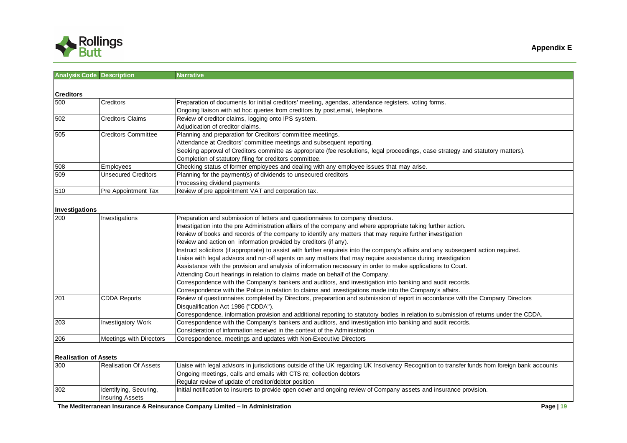

| <b>Analysis Code Description</b> |                              | <b>Narrative</b>                                                                                                                               |
|----------------------------------|------------------------------|------------------------------------------------------------------------------------------------------------------------------------------------|
|                                  |                              |                                                                                                                                                |
| <b>Creditors</b>                 |                              |                                                                                                                                                |
| 500                              | Creditors                    | Preparation of documents for initial creditors' meeting, agendas, attendance registers, voting forms.                                          |
|                                  |                              | Ongoing liaison with ad hoc queries from creditors by post, email, telephone.                                                                  |
| $\overline{502}$                 | Creditors Claims             | Review of creditor claims, logging onto IPS system.                                                                                            |
|                                  |                              | Adjudication of creditor claims.                                                                                                               |
| 505                              | Creditors Committee          | Planning and preparation for Creditors' committee meetings.                                                                                    |
|                                  |                              | Attendance at Creditors' committee meetings and subsequent reporting.                                                                          |
|                                  |                              | Seeking approval of Creditors committe as appropriate (fee resolutions, legal proceedings, case strategy and statutory matters).               |
|                                  |                              | Completion of statutory filing for creditors committee.                                                                                        |
| 508                              | Employees                    | Checking status of former employees and dealing with any employee issues that may arise.                                                       |
| 509                              | <b>Unsecured Creditors</b>   | Planning for the payment(s) of dividends to unsecured creditors                                                                                |
|                                  |                              | Processing dividend payments                                                                                                                   |
| 510                              | Pre Appointment Tax          | Review of pre appointment VAT and corporation tax.                                                                                             |
|                                  |                              |                                                                                                                                                |
| Investigations                   |                              |                                                                                                                                                |
| 200                              | Investigations               | Preparation and submission of letters and questionnaires to company directors.                                                                 |
|                                  |                              | Investigation into the pre Administration affairs of the company and where appropriate taking further action.                                  |
|                                  |                              | Review of books and records of the company to identify any matters that may require further investigation                                      |
|                                  |                              | Review and action on information provided by creditors (if any).                                                                               |
|                                  |                              | Instruct solicitors (if appropriate) to assist with further enquireis into the company's affairs and any subsequent action required.           |
|                                  |                              | Liaise with legal advisors and run-off agents on any matters that may require assistance during investigation                                  |
|                                  |                              | Assistance with the provision and analysis of information necessary in order to make applications to Court.                                    |
|                                  |                              | Attending Court hearings in relation to claims made on behalf of the Company.                                                                  |
|                                  |                              | Correspondence with the Company's bankers and auditors, and investigation into banking and audit records.                                      |
|                                  |                              | Correspondence with the Police in relation to claims and investigations made into the Company's affairs.                                       |
| 201                              | CDDA Reports                 | Review of questionnaires completed by Directors, preparartion and submission of report in accordance with the Company Directors                |
|                                  |                              | Disqualification Act 1986 ("CDDA").                                                                                                            |
|                                  |                              | Correspondence, information provision and additional reporting to statutory bodies in relation to submission of returns under the CDDA.        |
| 203                              | Investigatory Work           | Correspondence with the Company's bankers and auditors, and investigation into banking and audit records.                                      |
|                                  |                              | Consideration of information received in the context of the Administration                                                                     |
| 206                              | Meetings with Directors      | Correspondence, meetings and updates with Non-Executive Directors                                                                              |
|                                  |                              |                                                                                                                                                |
| <b>Realisation of Assets</b>     |                              |                                                                                                                                                |
| 300                              | <b>Realisation Of Assets</b> | Liaise with legal advisors in jurisdictions outside of the UK regarding UK Insolvency Recognition to transfer funds from foreign bank accounts |
|                                  |                              | Ongoing meetings, calls and emails with CTS re; collection debtors                                                                             |
|                                  |                              | Regular review of update of creditor/debtor position                                                                                           |
| 302                              | Identifying, Securing,       | Initial notification to insurers to provide open cover and ongoing review of Company assets and insurance provision.                           |
|                                  | <b>Insuring Assets</b>       |                                                                                                                                                |
|                                  |                              |                                                                                                                                                |